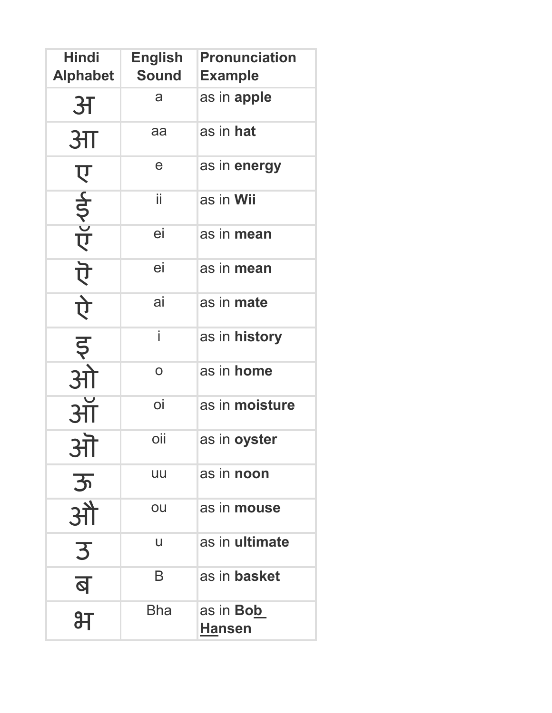| <b>Hindi</b><br><b>Alphabet</b> | <b>English</b><br><b>Sound</b> | <b>Pronunciation</b><br><b>Example</b> |
|---------------------------------|--------------------------------|----------------------------------------|
| <b>3T</b>                       | a                              | as in apple                            |
| 3 <sub>π</sub>                  | aa                             | as in hat                              |
|                                 | e                              | as in energy                           |
| レイシア                            | ii                             | as in Wii                              |
|                                 | ei                             | as in mean                             |
| <u>ਹੋ</u>                       | ei                             | as in mean                             |
|                                 | ai                             | as in mate                             |
| पे<br>इ                         | i                              | as in history                          |
| ओ                               | $\overline{O}$                 | as in home                             |
| 3H                              | oi                             | as in moisture                         |
| <b>STT</b>                      | oii                            | as in oyster                           |
| 3                               | uu                             | as in <b>noon</b>                      |
| ऑे                              | ou                             | as in mouse                            |
| 3                               | U                              | as in ultimate                         |
| ब                               | B                              | as in basket                           |
| 汨                               | <b>Bha</b>                     | as in <b>Bob</b><br><b>Hansen</b>      |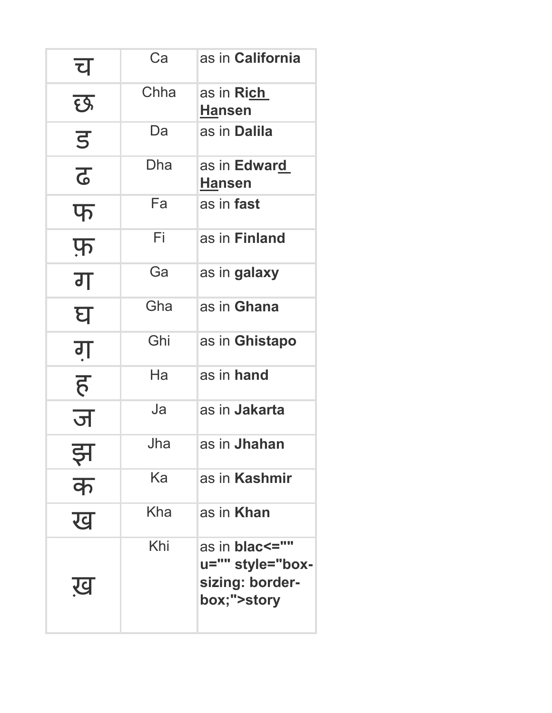| च              | Ca   | as in California                                                               |
|----------------|------|--------------------------------------------------------------------------------|
| छ              | Chha | as in Ri <u>ch</u><br><b>Hansen</b>                                            |
| $\overline{5}$ | Da   | as in <b>Dalila</b>                                                            |
| <u>रु</u>      | Dha  | as in <b>Edwar<u>d</u></b><br><b>Hansen</b>                                    |
| $\Psi$         | Fa   | as in <b>fast</b>                                                              |
| फ़             | Fi   | as in Finland                                                                  |
| ग              | Ga   | as in galaxy                                                                   |
| घ              | Gha  | as in Ghana                                                                    |
| गु             | Ghi  | as in Ghistapo                                                                 |
| ह              | Ha   | as in hand                                                                     |
| ज              | Ja   | as in <b>Jakarta</b>                                                           |
| ╍              | Jha  | as in <b>Jhahan</b>                                                            |
| क              | Ka   | as in <b>Kashmir</b>                                                           |
| ख              | Kha  | as in <b>Khan</b>                                                              |
| ख              | Khi  | as in <b>blac&lt;=""</b><br>u="" style="box-<br>sizing: border-<br>box;">story |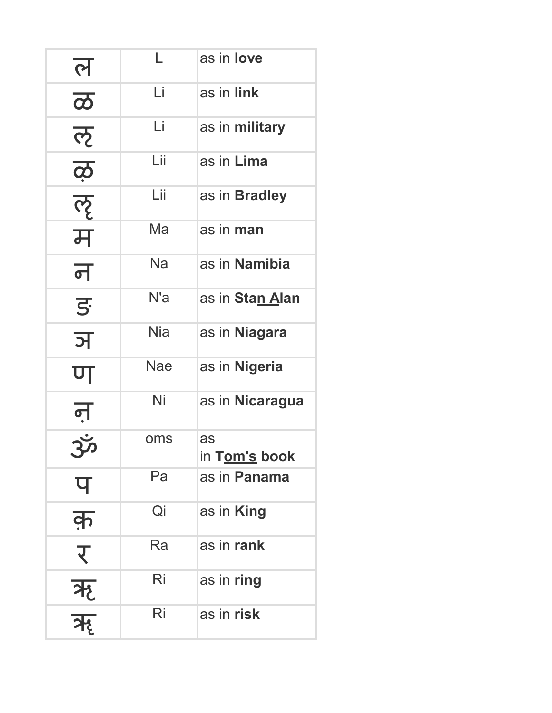| <u>ल</u>                         |            | as in <b>love</b>    |
|----------------------------------|------------|----------------------|
| $\overline{\boldsymbol{\varpi}}$ | Li         | as in link           |
| ऌ                                | Li         | as in military       |
| $\overline{\mathbf{6}}$          | Lii        | as in Lima           |
| ॡ                                | Lii        | as in <b>Bradley</b> |
| म                                | Ma         | as in man            |
| न                                | Na         | as in Namibia        |
| $\overline{5}$                   | N'a        | as in Stan Alan      |
| ञ                                | <b>Nia</b> | as in Niagara        |
| ण                                | <b>Nae</b> | as in Nigeria        |
| <u>न</u>                         | Ni         | as in Nicaragua      |
|                                  | oms        | as<br>in Tom's book  |
| प                                | Pa         | as in Panama         |
| क़                               | Qi         | as in <b>King</b>    |
| $\overline{\mathcal{X}}$         | Ra         | as in rank           |
|                                  | Ri         | as in ring           |
| ऋ<br>ऋ                           | Ri         | as in risk           |